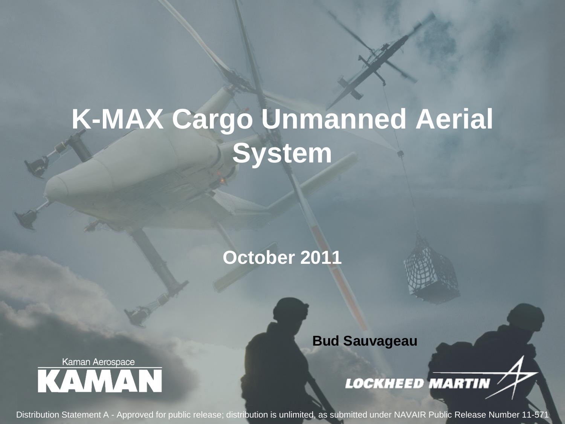# **K-MAX Cargo Unmanned Aerial System**

**October 2011**

**Bud Sauvageau**

**LOCKHEED MARTIN** 

1 Distribution Statement A - Approved for public release; distribution is unlimited, as submitted under NAVAIR Public Release Number 11-571

Kaman Aerospace **KAMAN**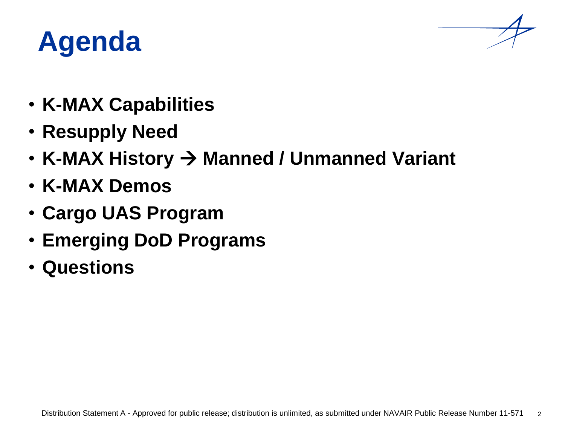### **Agenda**



- **K-MAX Capabilities**
- **Resupply Need**
- K-MAX History  $\rightarrow$  Manned / Unmanned Variant
- **K-MAX Demos**
- **Cargo UAS Program**
- **Emerging DoD Programs**
- **Questions**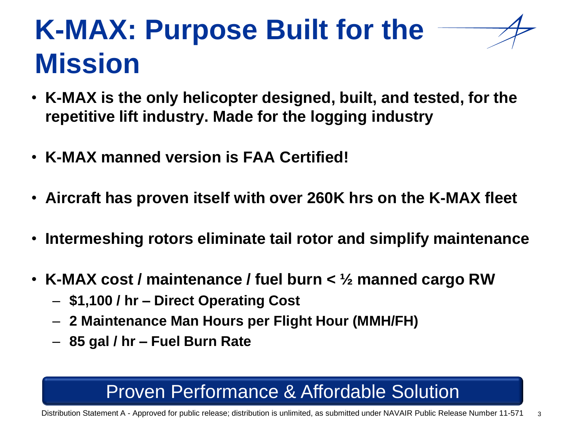## **K-MAX: Purpose Built for the Mission**

- **K-MAX is the only helicopter designed, built, and tested, for the repetitive lift industry. Made for the logging industry**
- **K-MAX manned version is FAA Certified!**
- **Aircraft has proven itself with over 260K hrs on the K-MAX fleet**
- **Intermeshing rotors eliminate tail rotor and simplify maintenance**
- **K-MAX cost / maintenance / fuel burn < ½ manned cargo RW**
	- **\$1,100 / hr – Direct Operating Cost**
	- **2 Maintenance Man Hours per Flight Hour (MMH/FH)**
	- **85 gal / hr – Fuel Burn Rate**

#### Proven Performance & Affordable Solution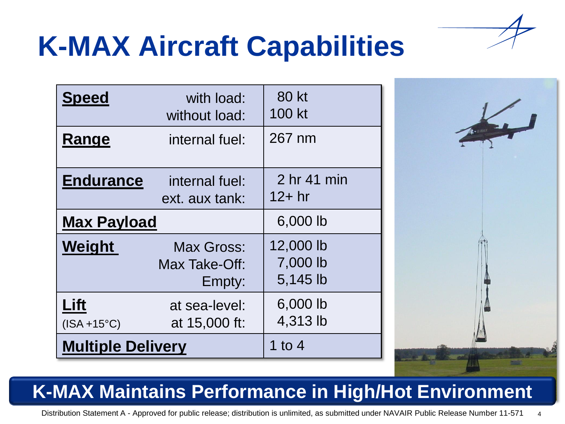

## **K-MAX Aircraft Capabilities**

| <b>Speed</b>             | with load:<br>without load:                  | 80 kt<br>100 kt                   |
|--------------------------|----------------------------------------------|-----------------------------------|
| Range                    | internal fuel:                               | 267 nm                            |
| <b>Endurance</b>         | internal fuel:<br>ext. aux tank:             | 2 hr 41 min<br>$12+hr$            |
| <b>Max Payload</b>       |                                              | 6,000 lb                          |
| Weight                   | <b>Max Gross:</b><br>Max Take-Off:<br>Empty: | 12,000 lb<br>7,000 lb<br>5,145 lb |
| Lift<br>$(ISA +15°C)$    | at sea-level:<br>at 15,000 ft:               | 6,000 lb<br>4,313 lb              |
| <b>Multiple Delivery</b> |                                              | 1 to 4                            |



#### **K-MAX Maintains Performance in High/Hot Environment**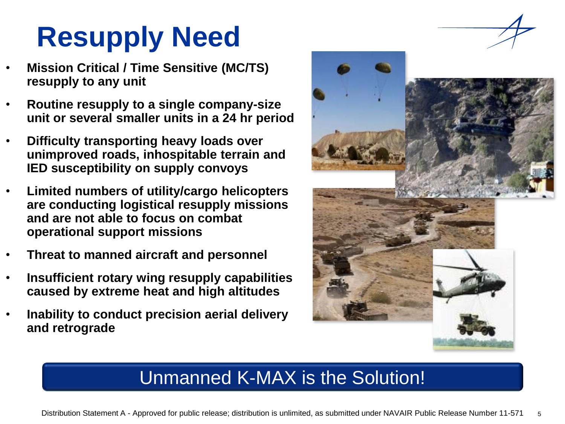# **Resupply Need**

- **Mission Critical / Time Sensitive (MC/TS) resupply to any unit**
- **Routine resupply to a single company-size unit or several smaller units in a 24 hr period**
- **Difficulty transporting heavy loads over unimproved roads, inhospitable terrain and IED susceptibility on supply convoys**
- **Limited numbers of utility/cargo helicopters are conducting logistical resupply missions and are not able to focus on combat operational support missions**
- **Threat to manned aircraft and personnel**
- **Insufficient rotary wing resupply capabilities caused by extreme heat and high altitudes**
- **Inability to conduct precision aerial delivery and retrograde**



#### Unmanned K-MAX is the Solution!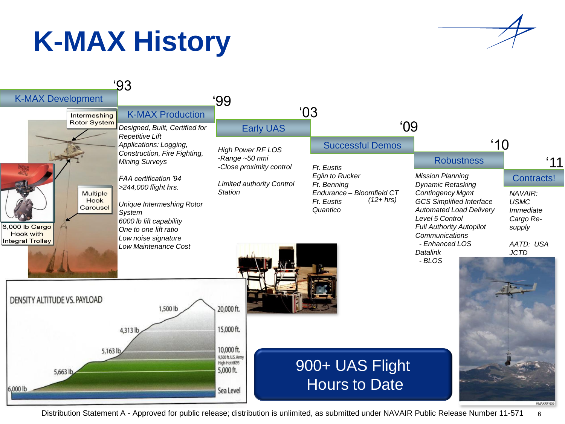## **K-MAX History**



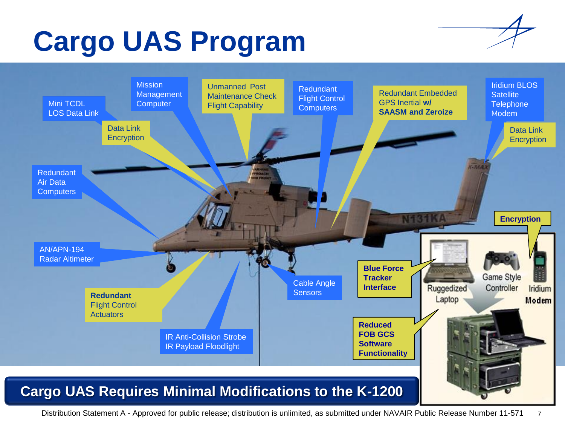# **Cargo UAS Program**



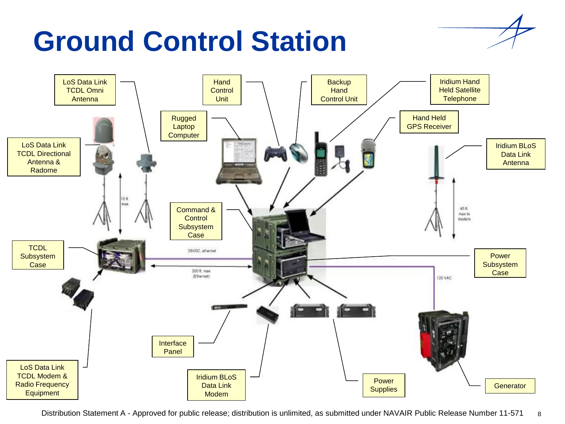# **Ground Control Station**



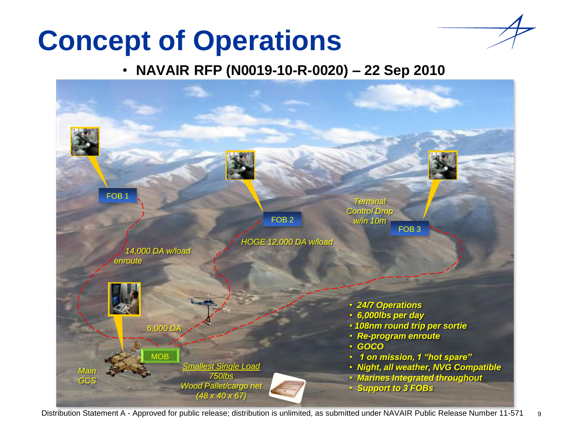### **Concept of Operations**

#### • **NAVAIR RFP (N0019-10-R-0020) – 22 Sep 2010**

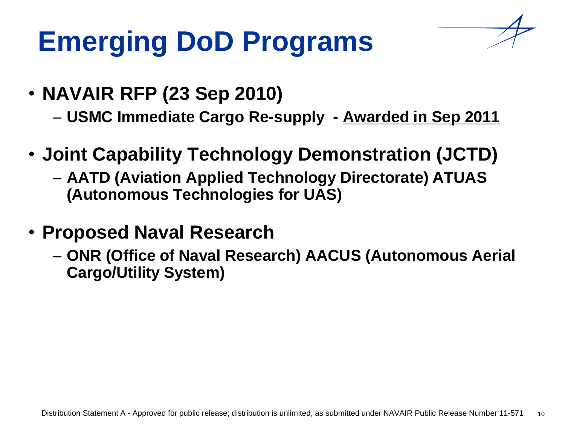# **Emerging DoD Programs**



- **NAVAIR RFP (23 Sep 2010)** 
	- **USMC Immediate Cargo Re-supply - Awarded in Sep 2011**
- **Joint Capability Technology Demonstration (JCTD)**
	- **AATD (Aviation Applied Technology Directorate) ATUAS (Autonomous Technologies for UAS)**
- **Proposed Naval Research**
	- **ONR (Office of Naval Research) AACUS (Autonomous Aerial Cargo/Utility System)**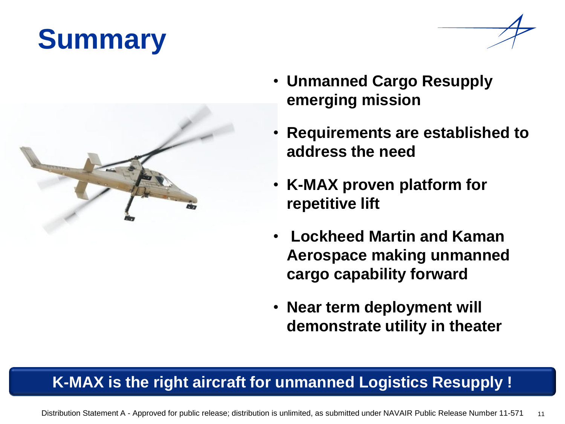# **Summary**



- **Unmanned Cargo Resupply emerging mission**
- **Requirements are established to address the need**
- **K-MAX proven platform for repetitive lift**
- **Lockheed Martin and Kaman Aerospace making unmanned cargo capability forward**
- **Near term deployment will demonstrate utility in theater**

#### **K-MAX is the right aircraft for unmanned Logistics Resupply !**